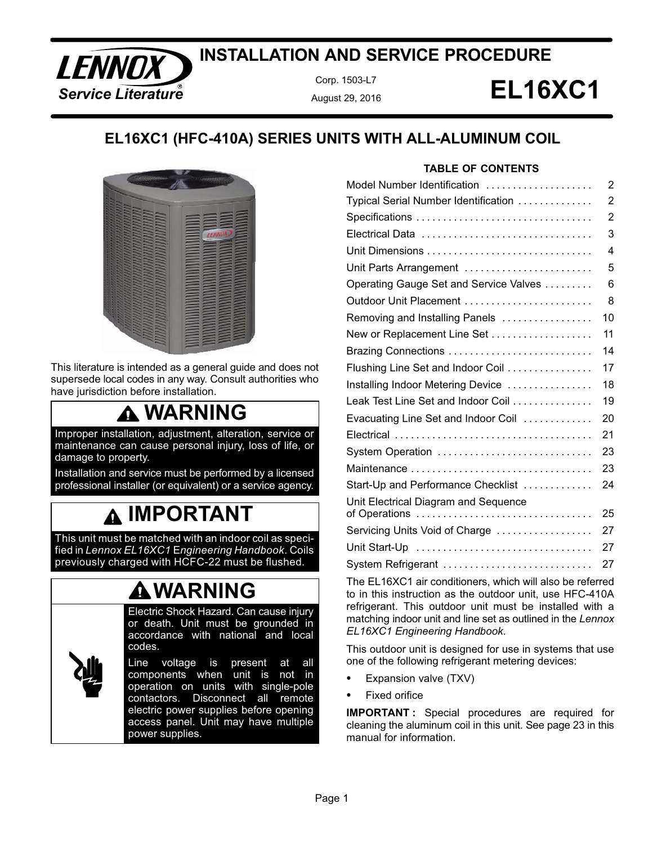### **ENNOX WE ARE A COOPE AND SERVICE PROCEDURE**<br>Service Literature **EL16XC1 INSTALLATION AND SERVICE PROCEDURE**

Corp. 1503-L7 August 29, 2016

### **EL16XC1 (HFC-410A) SERIES UNITS WITH ALL-ALUMINUM COIL**



This literature is intended as a general guide and does not supersede local codes in any way. Consult authorities who have jurisdiction before installation.

### **WARNING**

Improper installation, adjustment, alteration, service or maintenance can cause personal injury, loss of life, or damage to property.

Installation and service must be performed by a licensed professional installer (or equivalent) or a service agency.

### **IMPORTANT**

This unit must be matched with an indoor coil as specified in *Lennox EL16XC1* E*ngineering Handbook*. Coils previously charged with HCFC-22 must be flushed.

### **WARNING**

Electric Shock Hazard. Can cause injury or death. Unit must be grounded in accordance with national and local codes.

Line voltage is present at all components when unit is not in operation on units with single‐pole contactors. Disconnect all remote electric power supplies before opening access panel. Unit may have multiple power supplies.

#### **TABLE OF CONTENTS**

| Model Number Identification                           | 2              |
|-------------------------------------------------------|----------------|
| Typical Serial Number Identification                  | $\overline{2}$ |
|                                                       | $\overline{2}$ |
|                                                       | 3              |
|                                                       | 4              |
| Unit Parts Arrangement                                | 5              |
| Operating Gauge Set and Service Valves                | 6              |
| Outdoor Unit Placement                                | 8              |
| Removing and Installing Panels                        | 10             |
| New or Replacement Line Set                           | 11             |
|                                                       | 14             |
| Flushing Line Set and Indoor Coil                     | 17             |
| Installing Indoor Metering Device                     | 18             |
| Leak Test Line Set and Indoor Coil                    | 19             |
| Evacuating Line Set and Indoor Coil                   | 20             |
|                                                       | 21             |
| System Operation                                      | 23             |
| Maintenance                                           | 23             |
| Start-Up and Performance Checklist                    | 24             |
| Unit Electrical Diagram and Sequence<br>of Operations | 25             |
| Servicing Units Void of Charge                        | 27             |
|                                                       | 27             |
| System Refrigerant                                    | 27             |

The EL16XC1 air conditioners, which will also be referred to in this instruction as the outdoor unit, use HFC-410A refrigerant. This outdoor unit must be installed with a matching indoor unit and line set as outlined in the *Lennox EL16XC1 Engineering Handbook*.

This outdoor unit is designed for use in systems that use one of the following refrigerant metering devices:

- -Expansion valve (TXV)
- -Fixed orifice

**IMPORTANT-:** Special procedures are required for cleaning the aluminum coil in this unit. See page 23 in this manual for information.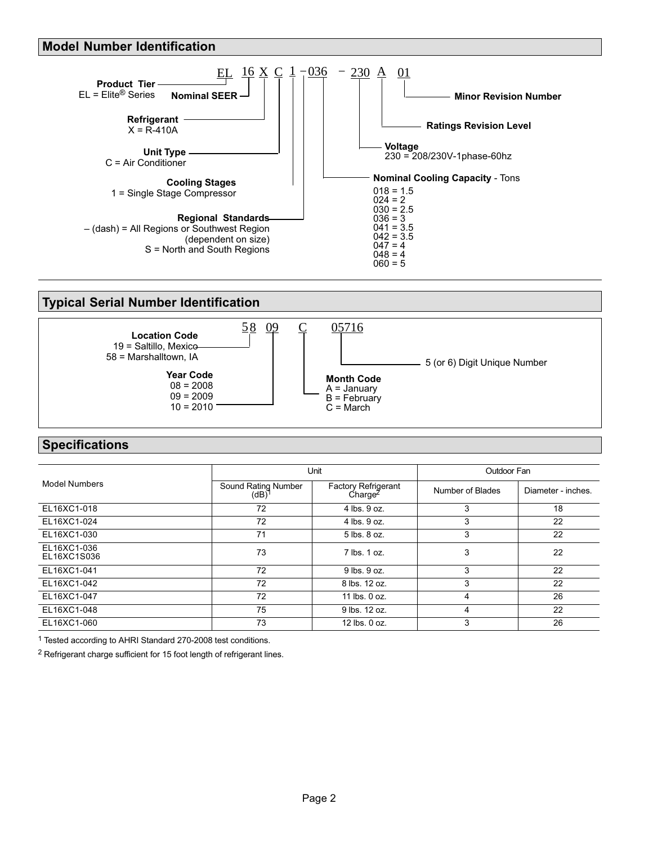#### <span id="page-1-0"></span>**Model Number Identification**



### **Typical Serial Number Identification**



### **Specifications**

|                            |                                          | Unit                                              | Outdoor Fan      |                    |  |
|----------------------------|------------------------------------------|---------------------------------------------------|------------------|--------------------|--|
| <b>Model Numbers</b>       | Sound Rating Number<br>(dB) <sup>1</sup> | <b>Factory Refrigerant</b><br>Charge <sup>2</sup> | Number of Blades | Diameter - inches. |  |
| EL16XC1-018                | 72                                       | 4 lbs. 9 oz.                                      | 3                | 18                 |  |
| EL16XC1-024                | 72                                       | 4 lbs. 9 oz.                                      | 3                | 22                 |  |
| EL16XC1-030                | 71                                       | 5 lbs. 8 oz.                                      | 3                | 22                 |  |
| EL16XC1-036<br>EL16XC1S036 | 73                                       | 7 lbs. 1 oz.                                      | 3                | 22                 |  |
| EL16XC1-041                | 72                                       | 9 lbs. 9 oz.                                      | 3                | 22                 |  |
| EL16XC1-042                | 72                                       | 8 lbs. 12 oz.                                     | 3                | 22                 |  |
| EL16XC1-047                | 72                                       | 11 lbs. 0 oz.                                     | 4                | 26                 |  |
| EL16XC1-048                | 75                                       | 9 lbs. 12 oz.                                     | 4                | 22                 |  |
| EL16XC1-060                | 73                                       | 12 lbs. 0 oz.                                     | 3                | 26                 |  |

1 Tested according to AHRI Standard 270-2008 test conditions.

2 Refrigerant charge sufficient for 15 foot length of refrigerant lines.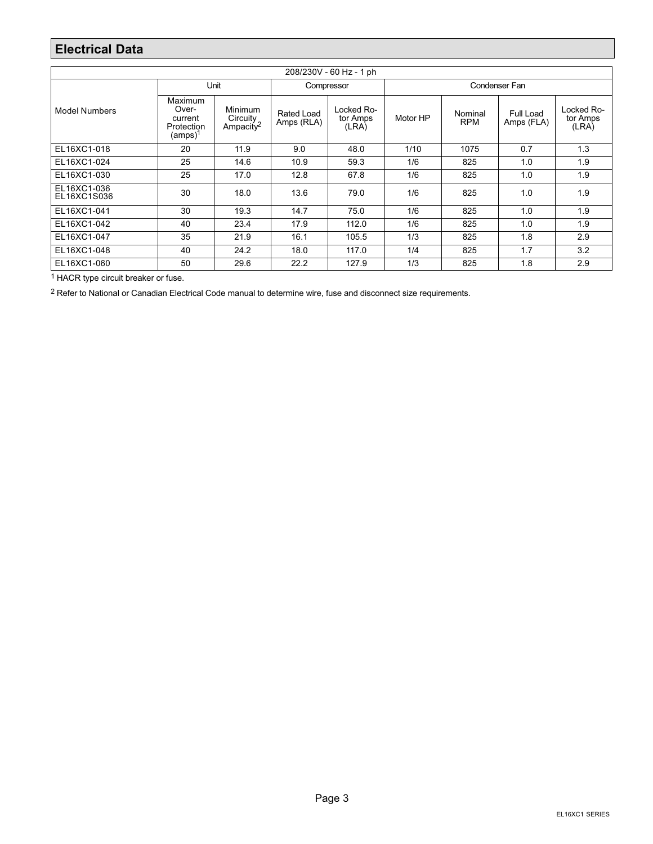### <span id="page-2-0"></span>**Electrical Data**

| 208/230V - 60 Hz - 1 ph    |                                                                                                                  |      |                                                                    |       |               |                       |                         |                                 |  |  |
|----------------------------|------------------------------------------------------------------------------------------------------------------|------|--------------------------------------------------------------------|-------|---------------|-----------------------|-------------------------|---------------------------------|--|--|
|                            |                                                                                                                  | Unit | Compressor                                                         |       | Condenser Fan |                       |                         |                                 |  |  |
| <b>Model Numbers</b>       | Maximum<br>Over-<br>Minimum<br>Circuity<br>current<br>Ampacity <sup>2</sup><br>Protection<br>(amps) <sup>1</sup> |      | Locked Ro-<br><b>Rated Load</b><br>tor Amps<br>Amps (RLA)<br>(LRA) |       | Motor HP      | Nominal<br><b>RPM</b> | Full Load<br>Amps (FLA) | Locked Ro-<br>tor Amps<br>(LRA) |  |  |
| EL16XC1-018                | 11.9<br>20                                                                                                       |      | 9.0                                                                | 48.0  | 1/10          | 1075                  | 0.7                     | 1.3                             |  |  |
| EL16XC1-024                | 25<br>14.6                                                                                                       |      | 10.9                                                               | 59.3  | 1/6           | 825                   | 1.0                     | 1.9                             |  |  |
| EL16XC1-030                | 25<br>17.0                                                                                                       |      | 12.8                                                               | 67.8  | 1/6           | 825                   | 1.0                     | 1.9                             |  |  |
| EL16XC1-036<br>EL16XC1S036 | 30<br>18.0                                                                                                       |      | 13.6                                                               | 79.0  | 1/6           | 825                   | 1.0                     | 1.9                             |  |  |
| EL16XC1-041                | 30<br>19.3                                                                                                       |      | 14.7                                                               | 75.0  | 1/6           | 825                   | 1.0                     | 1.9                             |  |  |
| EL16XC1-042                | 40<br>23.4                                                                                                       |      | 17.9                                                               | 112.0 | 1/6           | 825                   | 1.0                     | 1.9                             |  |  |
| EL16XC1-047                | 35<br>21.9                                                                                                       |      | 16.1                                                               | 105.5 | 1/3           | 825                   | 1.8                     | 2.9                             |  |  |
| EL16XC1-048                | 40<br>24.2                                                                                                       |      | 18.0                                                               | 117.0 | 1/4           | 825                   | 1.7                     | 3.2                             |  |  |
| EL16XC1-060                | 50                                                                                                               | 29.6 | 22.2                                                               | 127.9 | 1/3           | 825                   | 1.8                     | 2.9                             |  |  |

1 HACR type circuit breaker or fuse.

<sup>2</sup> Refer to National or Canadian Electrical Code manual to determine wire, fuse and disconnect size requirements.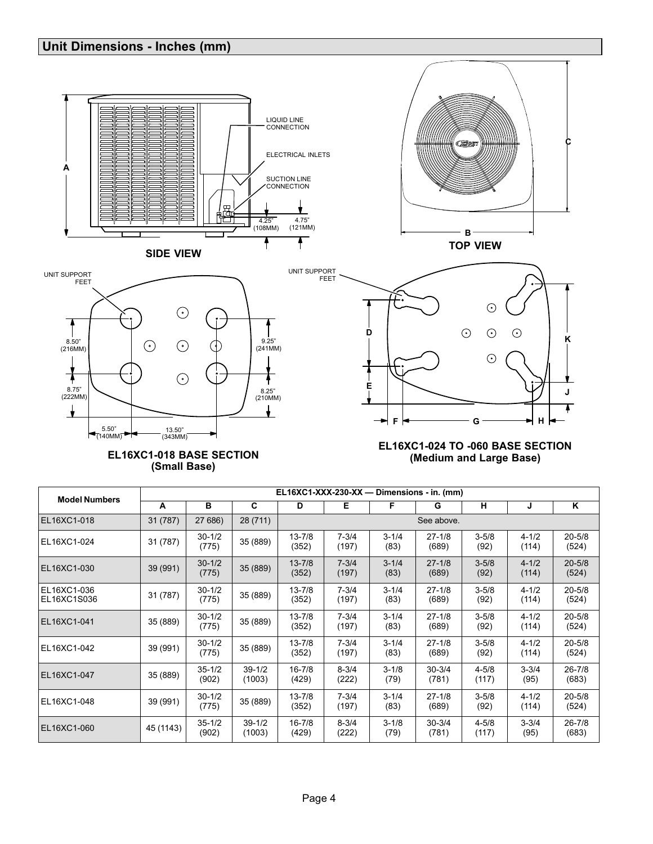### <span id="page-3-0"></span>**Unit Dimensions - Inches (mm)**







mm

**E**

₹

**F**

 $\rightarrow$ 



#### **EL16XC1-018 BASE SECTION (Small Base)**

#### **EL16XC1-024 TO -060 BASE SECTION (Medium and Large Base)**

**G**

 $\odot$ 

**K**

**C**

**J**

T

**H**

| <b>Model Numbers</b>       |                                 |                                 |                      |                     |                    |                   | EL16XC1-XXX-230-XX - Dimensions - in. (mm) |                    |                    |                     |
|----------------------------|---------------------------------|---------------------------------|----------------------|---------------------|--------------------|-------------------|--------------------------------------------|--------------------|--------------------|---------------------|
|                            | A                               | в                               | C                    | D                   | Е                  | F                 | G                                          | н                  | J                  | K                   |
| EL16XC1-018                | 31 (787)                        | 27 686)                         | 28 (711)             |                     |                    |                   | See above.                                 |                    |                    |                     |
| EL16XC1-024                | 31 (787)                        | $30 - 1/2$<br>(775)             | 35 (889)             | $13 - 7/8$<br>(352) | $7 - 3/4$<br>(197) | $3 - 1/4$<br>(83) | $27 - 1/8$<br>(689)                        | $3 - 5/8$<br>(92)  | $4 - 1/2$<br>(114) | $20 - 5/8$<br>(524) |
| EL16XC1-030                | 39 (991)                        | $30 - 1/2$<br>(775)             | 35 (889)             | $13 - 7/8$<br>(352) | $7 - 3/4$<br>(197) | $3 - 1/4$<br>(83) | $27 - 1/8$<br>(689)                        | $3 - 5/8$<br>(92)  | $4 - 1/2$<br>(114) | $20 - 5/8$<br>(524) |
| EL16XC1-036<br>EL16XC1S036 | 31 (787)                        | $30 - 1/2$<br>35 (889)<br>(775) |                      | $13 - 7/8$<br>(352) | $7 - 3/4$<br>(197) | $3 - 1/4$<br>(83) | $27 - 1/8$<br>(689)                        | $3 - 5/8$<br>(92)  | $4 - 1/2$<br>(114) | $20 - 5/8$<br>(524) |
| EL16XC1-041                | 35 (889)                        | $30 - 1/2$<br>(775)             | 35 (889)             | $13 - 7/8$<br>(352) | $7 - 3/4$<br>(197) | $3 - 1/4$<br>(83) | $27 - 1/8$<br>(689)                        | $3 - 5/8$<br>(92)  | $4 - 1/2$<br>(114) | $20 - 5/8$<br>(524) |
| EL16XC1-042                | 39 (991)                        | $30 - 1/2$<br>35 (889)<br>(775) |                      | $13 - 7/8$<br>(352) | $7 - 3/4$<br>(197) | $3 - 1/4$<br>(83) | $27 - 1/8$<br>(689)                        | $3 - 5/8$<br>(92)  | $4 - 1/2$<br>(114) | $20 - 5/8$<br>(524) |
| EL16XC1-047                | $35 - 1/2$<br>35 (889)<br>(902) |                                 | $39 - 1/2$<br>(1003) | $16 - 7/8$<br>(429) | $8 - 3/4$<br>(222) | $3 - 1/8$<br>(79) | $30 - 3/4$<br>(781)                        | $4 - 5/8$<br>(117) | $3 - 3/4$<br>(95)  | $26 - 7/8$<br>(683) |
| EL16XC1-048                | 39 (991)                        | $30 - 1/2$<br>(775)             | 35 (889)             | $13 - 7/8$<br>(352) | $7 - 3/4$<br>(197) | $3 - 1/4$<br>(83) | $27 - 1/8$<br>(689)                        | $3 - 5/8$<br>(92)  | $4 - 1/2$<br>(114) | $20 - 5/8$<br>(524) |
| EL16XC1-060                | 45 (1143)                       | $35 - 1/2$<br>(902)             | $39 - 1/2$<br>(1003) | $16 - 7/8$<br>(429) | $8 - 3/4$<br>(222) | $3 - 1/8$<br>(79) | $30 - 3/4$<br>(781)                        | $4 - 5/8$<br>(117) | $3 - 3/4$<br>(95)  | $26 - 7/8$<br>(683) |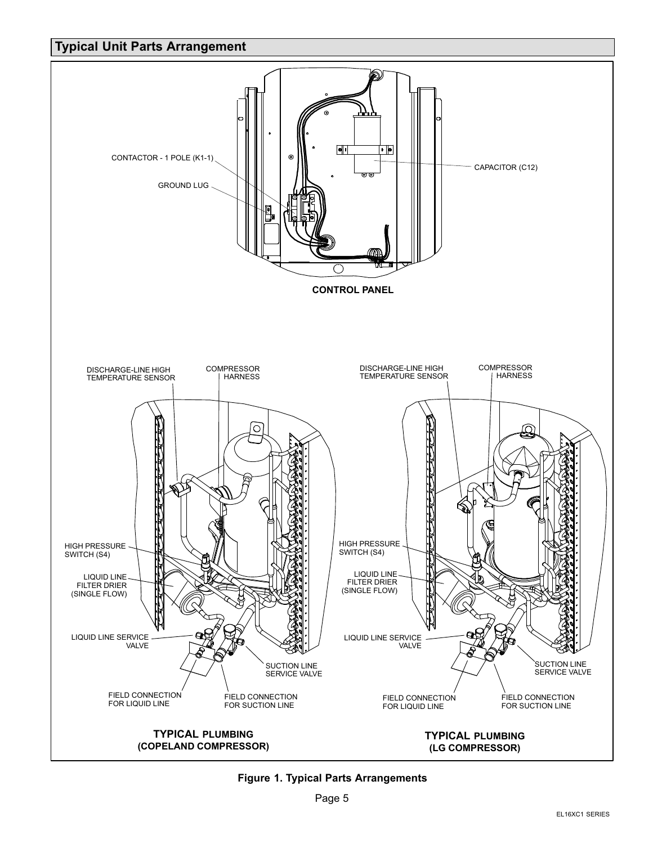### <span id="page-4-0"></span>**Typical Unit Parts Arrangement**



**Figure 1. Typical Parts Arrangements**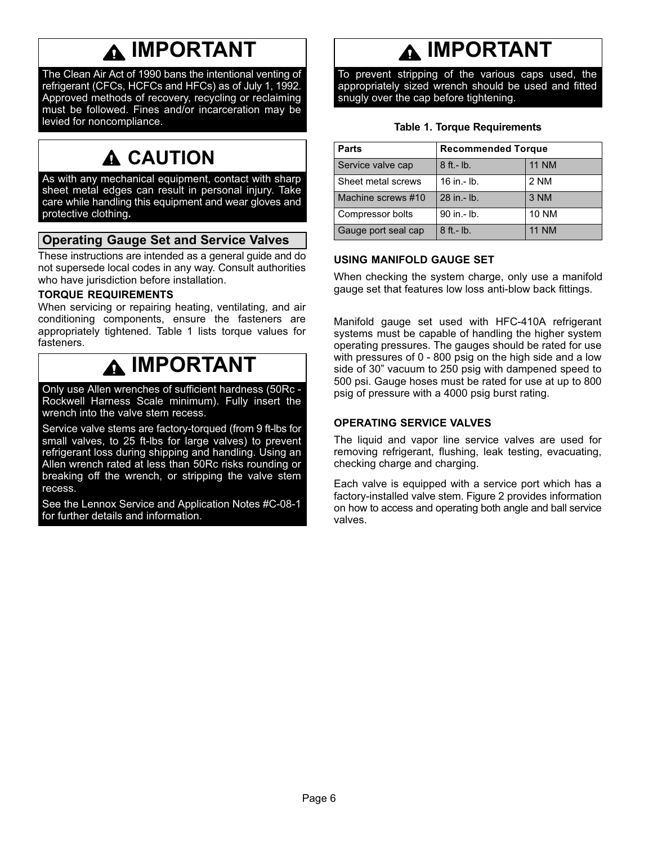### **IMPORTANT**

<span id="page-5-0"></span>The Clean Air Act of 1990 bans the intentional venting of refrigerant (CFCs, HCFCs and HFCs) as of July 1, 1992. Approved methods of recovery, recycling or reclaiming must be followed. Fines and/or incarceration may be levied for noncompliance.

### **A CAUTION**

As with any mechanical equipment, contact with sharp sheet metal edges can result in personal injury. Take care while handling this equipment and wear gloves and protective clothing**.**

### **Operating Gauge Set and Service Valves**

These instructions are intended as a general guide and do not supersede local codes in any way. Consult authorities who have jurisdiction before installation.

#### **TORQUE REQUIREMENTS**

When servicing or repairing heating, ventilating, and air conditioning components, ensure the fasteners are appropriately tightened. Table 1 lists torque values for fasteners.

### **IMPORTANT**

Only use Allen wrenches of sufficient hardness (50Rc - Rockwell Harness Scale minimum). Fully insert the wrench into the valve stem recess.

Service valve stems are factory-torqued (from 9 ft-lbs for small valves, to 25 ft-lbs for large valves) to prevent refrigerant loss during shipping and handling. Using an Allen wrench rated at less than 50Rc risks rounding or breaking off the wrench, or stripping the valve stem recess.

See the Lennox Service and Application Notes #C-08-1 for further details and information.

### **IMPORTANT**

To prevent stripping of the various caps used, the appropriately sized wrench should be used and fitted snugly over the cap before tightening.

|  |  |  | <b>Table 1. Torque Requirements</b> |
|--|--|--|-------------------------------------|
|--|--|--|-------------------------------------|

| <b>Parts</b>        | <b>Recommended Torque</b> |              |  |  |  |  |
|---------------------|---------------------------|--------------|--|--|--|--|
| Service valve cap   | 8 ft. - lb.               | <b>11 NM</b> |  |  |  |  |
| Sheet metal screws  | 16 in $-$ lb.             | 2 NM         |  |  |  |  |
| Machine screws #10  | 28 in .- lb.              | 3 NM         |  |  |  |  |
| Compressor bolts    | 90 in .- lb.              | <b>10 NM</b> |  |  |  |  |
| Gauge port seal cap | 8 ft. - lb.               | <b>11 NM</b> |  |  |  |  |

### **USING MANIFOLD GAUGE SET**

When checking the system charge, only use a manifold gauge set that features low loss anti-blow back fittings.

Manifold gauge set used with HFC-410A refrigerant systems must be capable of handling the higher system operating pressures. The gauges should be rated for use with pressures of 0 - 800 psig on the high side and a low side of 30" vacuum to 250 psig with dampened speed to 500 psi. Gauge hoses must be rated for use at up to 800 psig of pressure with a 4000 psig burst rating.

### **OPERATING SERVICE VALVES**

The liquid and vapor line service valves are used for removing refrigerant, flushing, leak testing, evacuating, checking charge and charging.

Each valve is equipped with a service port which has a factory-installed valve stem. Figure [2](#page-6-0) provides information on how to access and operating both angle and ball service valves.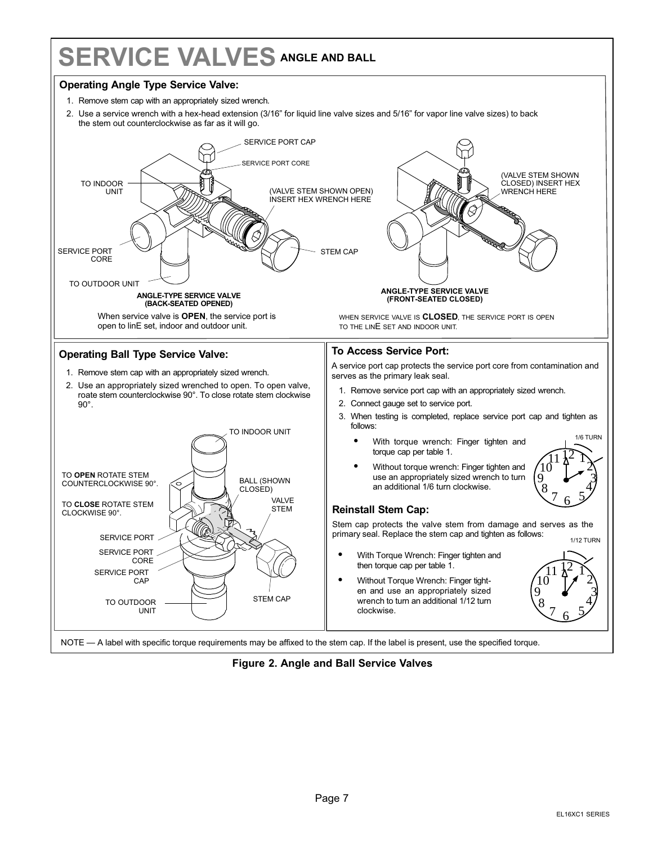## <span id="page-6-0"></span>**SERVICE VALVES ANGLE AND BALL**

#### **Operating Angle Type Service Valve:**

- 1. Remove stem cap with an appropriately sized wrench.
- 2. Use a service wrench with a hex-head extension (3/16" for liquid line valve sizes and 5/16" for vapor line valve sizes) to back the stem out counterclockwise as far as it will go.



**Figure 2. Angle and Ball Service Valves**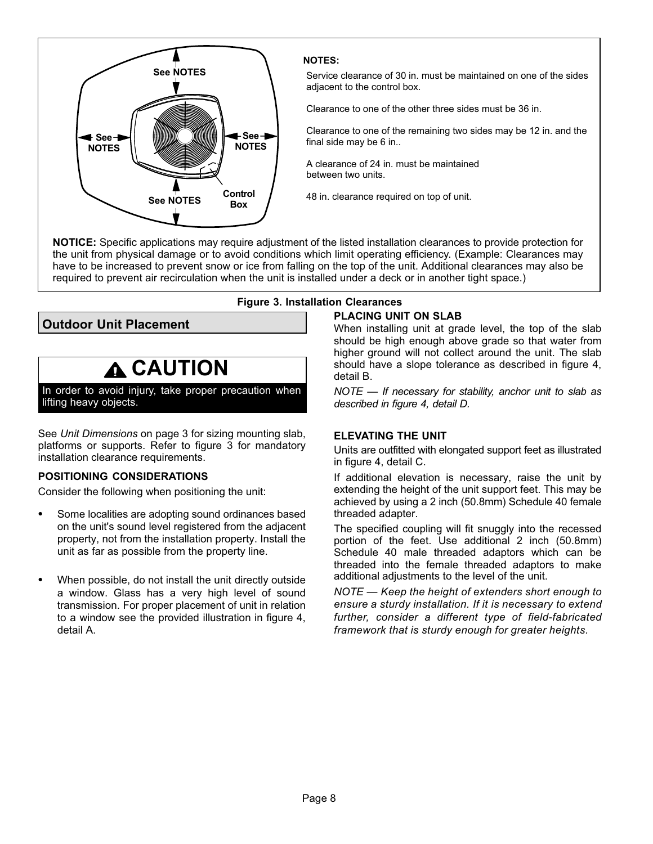<span id="page-7-0"></span>

#### **NOTES:**

Service clearance of 30 in. must be maintained on one of the sides adjacent to the control box.

Clearance to one of the other three sides must be 36 in.

Clearance to one of the remaining two sides may be 12 in. and the final side may be 6 in..

A clearance of 24 in. must be maintained between two units.

48 in. clearance required on top of unit.

**NOTICE:** Specific applications may require adjustment of the listed installation clearances to provide protection for the unit from physical damage or to avoid conditions which limit operating efficiency. (Example: Clearances may have to be increased to prevent snow or ice from falling on the top of the unit. Additional clearances may also be required to prevent air recirculation when the unit is installed under a deck or in another tight space.)

**Outdoor Unit Placement**

### **CAUTION**

In order to avoid injury, take proper precaution when lifting heavy objects.

See *Unit Dimensions* on page 3 for sizing mounting slab, platforms or supports. Refer to figure 3 for mandatory installation clearance requirements.

### **POSITIONING CONSIDERATIONS**

Consider the following when positioning the unit:

- - Some localities are adopting sound ordinances based on the unit's sound level registered from the adjacent property, not from the installation property. Install the unit as far as possible from the property line.
- - When possible, do not install the unit directly outside a window. Glass has a very high level of sound transmission. For proper placement of unit in relation to a window see the provided illustration in figure [4,](#page-8-0) detail A.

#### **Figure 3. Installation Clearances PLACING UNIT ON SLAB**

When installing unit at grade level, the top of the slab should be high enough above grade so that water from higher ground will not collect around the unit. The slab should have a slope tolerance as described in figure [4](#page-8-0), detail B.

*NOTE — If necessary for stability, anchor unit to slab as described in figure [4,](#page-8-0) detail D.*

#### **ELEVATING THE UNIT**

Units are outfitted with elongated support feet as illustrated in figure [4](#page-8-0), detail C.

If additional elevation is necessary, raise the unit by extending the height of the unit support feet. This may be achieved by using a 2 inch (50.8mm) Schedule 40 female threaded adapter.

The specified coupling will fit snuggly into the recessed portion of the feet. Use additional 2 inch (50.8mm) Schedule 40 male threaded adaptors which can be threaded into the female threaded adaptors to make additional adjustments to the level of the unit.

*NOTE — Keep the height of extenders short enough to ensure a sturdy installation. If it is necessary to extend further, consider a different type of field-fabricated framework that is sturdy enough for greater heights.*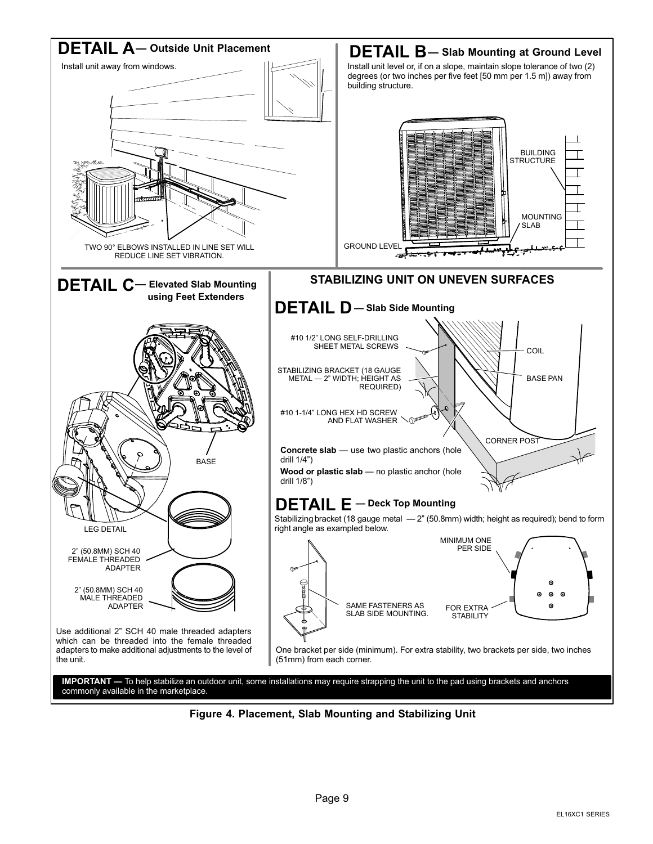<span id="page-8-0"></span>

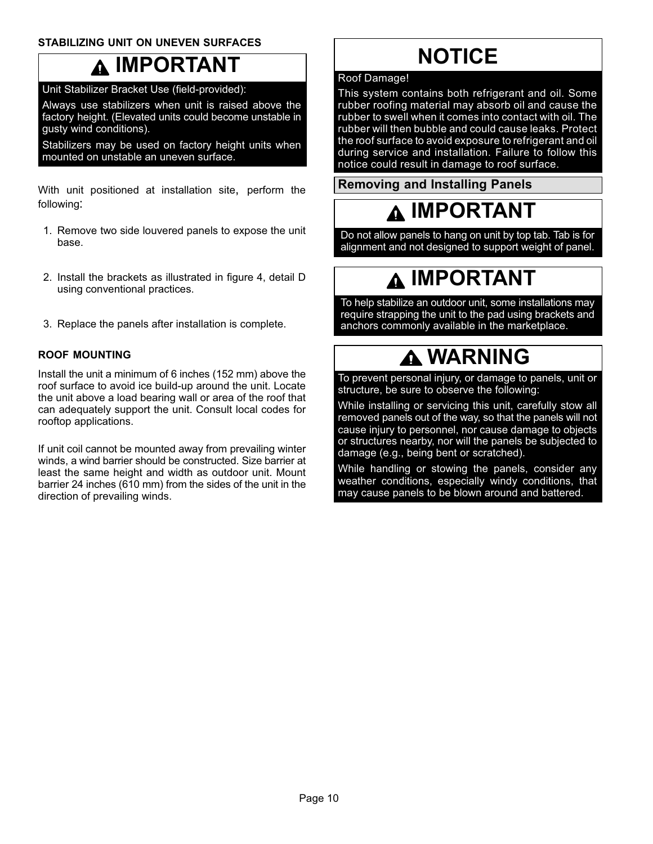### <span id="page-9-0"></span>**STABILIZING UNIT ON UNEVEN SURFACES**

### **IMPORTANT**

Unit Stabilizer Bracket Use (field-provided):

Always use stabilizers when unit is raised above the factory height. (Elevated units could become unstable in gusty wind conditions).

Stabilizers may be used on factory height units when mounted on unstable an uneven surface.

With unit positioned at installation site, perform the following:

- 1. Remove two side louvered panels to expose the unit base.
- 2. Install the brackets as illustrated in figure [4](#page-8-0), detail D using conventional practices.
- 3. Replace the panels after installation is complete.

### **ROOF MOUNTING**

Install the unit a minimum of 6 inches (152 mm) above the roof surface to avoid ice build-up around the unit. Locate the unit above a load bearing wall or area of the roof that can adequately support the unit. Consult local codes for rooftop applications.

If unit coil cannot be mounted away from prevailing winter winds, a wind barrier should be constructed. Size barrier at least the same height and width as outdoor unit. Mount barrier 24 inches (610 mm) from the sides of the unit in the direction of prevailing winds.

### **NOTICE**

#### Roof Damage!

This system contains both refrigerant and oil. Some rubber roofing material may absorb oil and cause the rubber to swell when it comes into contact with oil. The rubber will then bubble and could cause leaks. Protect the roof surface to avoid exposure to refrigerant and oil during service and installation. Failure to follow this notice could result in damage to roof surface.

**Removing and Installing Panels**

### **IMPORTANT**

Do not allow panels to hang on unit by top tab. Tab is for alignment and not designed to support weight of panel.

### **IMPORTANT**

To help stabilize an outdoor unit, some installations may require strapping the unit to the pad using brackets and anchors commonly available in the marketplace.

### **WARNING**

To prevent personal injury, or damage to panels, unit or structure, be sure to observe the following:

While installing or servicing this unit, carefully stow all removed panels out of the way, so that the panels will not cause injury to personnel, nor cause damage to objects or structures nearby, nor will the panels be subjected to damage (e.g., being bent or scratched).

While handling or stowing the panels, consider any weather conditions, especially windy conditions, that may cause panels to be blown around and battered.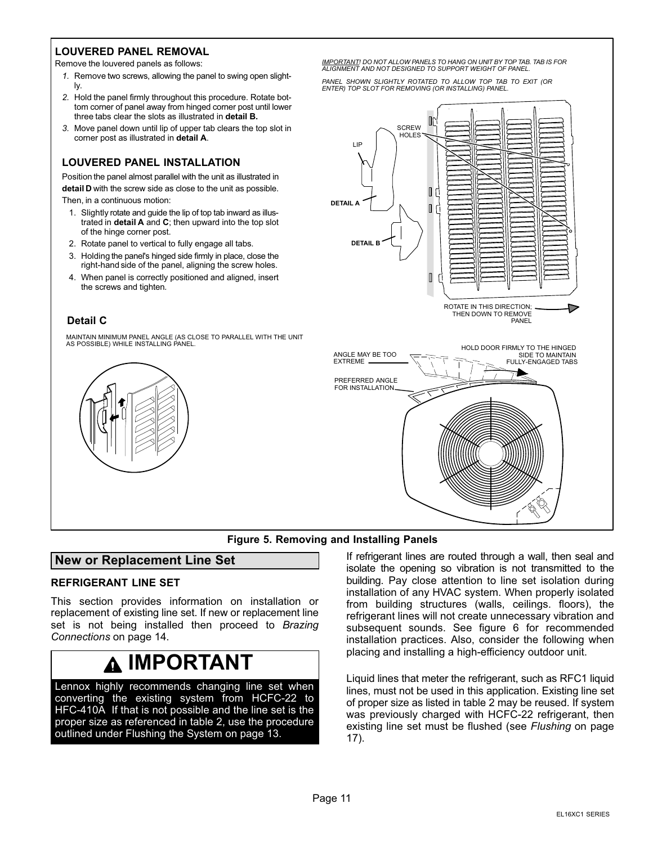#### <span id="page-10-0"></span>**LOUVERED PANEL REMOVAL**

Remove the louvered panels as follows:

- *1.* Remove two screws, allowing the panel to swing open slightly.
- *2.* Hold the panel firmly throughout this procedure. Rotate bottom corner of panel away from hinged corner post until lower three tabs clear the slots as illustrated in **detail B.**
- *3.* Move panel down until lip of upper tab clears the top slot in corner post as illustrated in **detail A**.

#### **LOUVERED PANEL INSTALLATION**

Position the panel almost parallel with the unit as illustrated in **detail D** with the screw side as close to the unit as possible.

Then, in a continuous motion:

- 1. Slightly rotate and guide the lip of top tab inward as illustrated in **detail A** and **C**; then upward into the top slot of the hinge corner post.
- 2. Rotate panel to vertical to fully engage all tabs.
- 3. Holding the panel's hinged side firmly in place, close the right-hand side of the panel, aligning the screw holes.
- 4. When panel is correctly positioned and aligned, insert the screws and tighten*.*

#### **Detail C**

MAINTAIN MINIMUM PANEL ANGLE (AS CLOSE TO PARALLEL WITH THE UNIT AS POSSIBLE) WHILE INSTALLING PANEL.



*IMPORTANT! DO NOT ALLOW PANELS TO HANG ON UNIT BY TOP TAB. TAB IS FOR ALIGNMENT AND NOT DESIGNED TO SUPPORT WEIGHT OF PANEL.*

*PANEL SHOWN SLIGHTLY ROTATED TO ALLOW TOP TAB TO EXIT (OR ENTER) TOP SLOT FOR REMOVING (OR INSTALLING) PANEL.*



#### **Figure 5. Removing and Installing Panels**

#### **New or Replacement Line Set**

#### **REFRIGERANT LINE SET**

This section provides information on installation or replacement of existing line set. If new or replacement line set is not being installed then proceed to *Brazing Connections* on page [14](#page-13-0).

### **IMPORTANT**

Lennox highly recommends changing line set when converting the existing system from HCFC-22 to HFC-410A. If that is not possible and the line set is the proper size as referenced in table 2, use the procedure outlined under Flushing the System on page 13.

If refrigerant lines are routed through a wall, then seal and isolate the opening so vibration is not transmitted to the building. Pay close attention to line set isolation during installation of any HVAC system. When properly isolated from building structures (walls, ceilings. floors), the refrigerant lines will not create unnecessary vibration and subsequent sounds. See figure [6](#page-12-0) for recommended installation practices. Also, consider the following when placing and installing a high-efficiency outdoor unit.

Liquid lines that meter the refrigerant, such as RFC1 liquid lines, must not be used in this application. Existing line set of proper size as listed in table [2](#page-11-0) may be reused. If system was previously charged with HCFC-22 refrigerant, then existing line set must be flushed (see *Flushing* on page [17](#page-16-0)).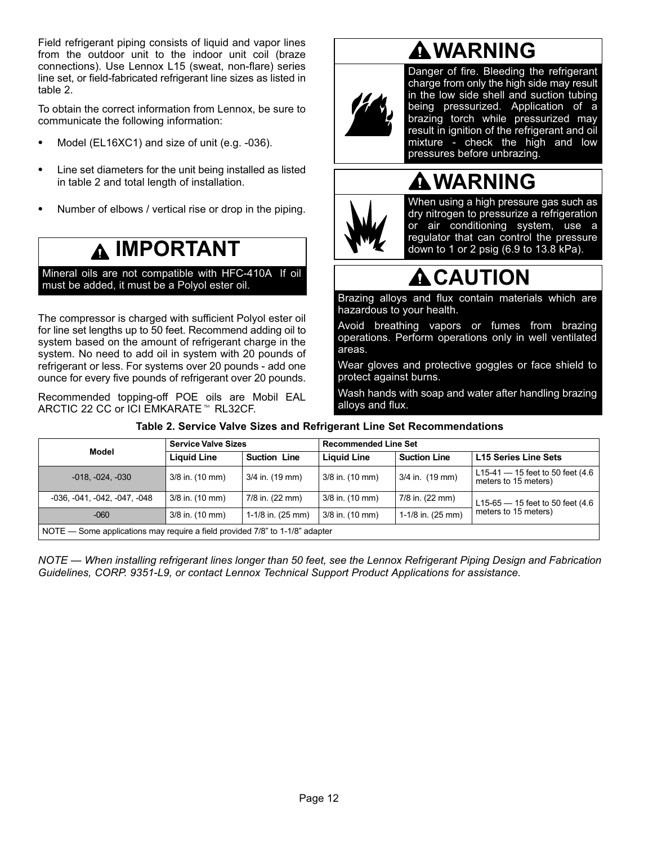<span id="page-11-0"></span>Field refrigerant piping consists of liquid and vapor lines from the outdoor unit to the indoor unit coil (braze connections). Use Lennox L15 (sweat, non-flare) series line set, or field-fabricated refrigerant line sizes as listed in table 2.

To obtain the correct information from Lennox, be sure to communicate the following information:

- -Model (EL16XC1) and size of unit (e.g. -036).
- - Line set diameters for the unit being installed as listed in table 2 and total length of installation.
- -Number of elbows / vertical rise or drop in the piping.

### **IMPORTANT**

Mineral oils are not compatible with HFC-410A. If oil must be added, it must be a Polyol ester oil.

The compressor is charged with sufficient Polyol ester oil for line set lengths up to 50 feet. Recommend adding oil to system based on the amount of refrigerant charge in the system. No need to add oil in system with 20 pounds of refrigerant or less. For systems over 20 pounds - add one ounce for every five pounds of refrigerant over 20 pounds.

Recommended topping-off POE oils are Mobil EAL ARCTIC 22 CC or ICI EMKARATE™ RL32CF.

# **WARNING**



Danger of fire. Bleeding the refrigerant charge from only the high side may result in the low side shell and suction tubing being pressurized. Application of a brazing torch while pressurized may result in ignition of the refrigerant and oil mixture - check the high and low pressures before unbrazing.

### **WARNING**



When using a high pressure gas such as dry nitrogen to pressurize a refrigeration or air conditioning system, use a regulator that can control the pressure down to 1 or 2 psig (6.9 to 13.8 kPa).

### **A** CAUTION

Brazing alloys and flux contain materials which are hazardous to your health.

Avoid breathing vapors or fumes from brazing operations. Perform operations only in well ventilated areas.

Wear gloves and protective goggles or face shield to protect against burns.

Wash hands with soap and water after handling brazing alloys and flux.

| Model                                                                        | <b>Service Valve Sizes</b> |                     | <b>Recommended Line Set</b> |                     |                                                            |  |  |  |  |
|------------------------------------------------------------------------------|----------------------------|---------------------|-----------------------------|---------------------|------------------------------------------------------------|--|--|--|--|
|                                                                              | <b>Liquid Line</b>         | <b>Suction Line</b> | <b>Liquid Line</b>          | <b>Suction Line</b> | <b>L15 Series Line Sets</b>                                |  |  |  |  |
| $-018, -024, -030$                                                           | 3/8 in. (10 mm)            | 3/4 in. (19 mm)     | 3/8 in. (10 mm)             | 3/4 in. (19 mm)     | L15-41 $-$ 15 feet to 50 feet (4.6<br>meters to 15 meters) |  |  |  |  |
| -036, -041, -042, -047, -048                                                 | 3/8 in. (10 mm)            | 7/8 in. (22 mm)     | 3/8 in. (10 mm)             | 7/8 in. (22 mm)     | L15-65 $-$ 15 feet to 50 feet (4.6                         |  |  |  |  |
| $-060$                                                                       | 3/8 in. (10 mm)            | 1-1/8 in. (25 mm)   | 3/8 in. (10 mm)             | 1-1/8 in. (25 mm)   | meters to 15 meters)                                       |  |  |  |  |
| NOTE — Some applications may require a field provided 7/8" to 1-1/8" adapter |                            |                     |                             |                     |                                                            |  |  |  |  |

### **Table 2. Service Valve Sizes and Refrigerant Line Set Recommendations**

*NOTE — When installing refrigerant lines longer than 50 feet, see the Lennox Refrigerant Piping Design and Fabrication Guidelines, CORP. 9351-L9, or contact Lennox Technical Support Product Applications for assistance.*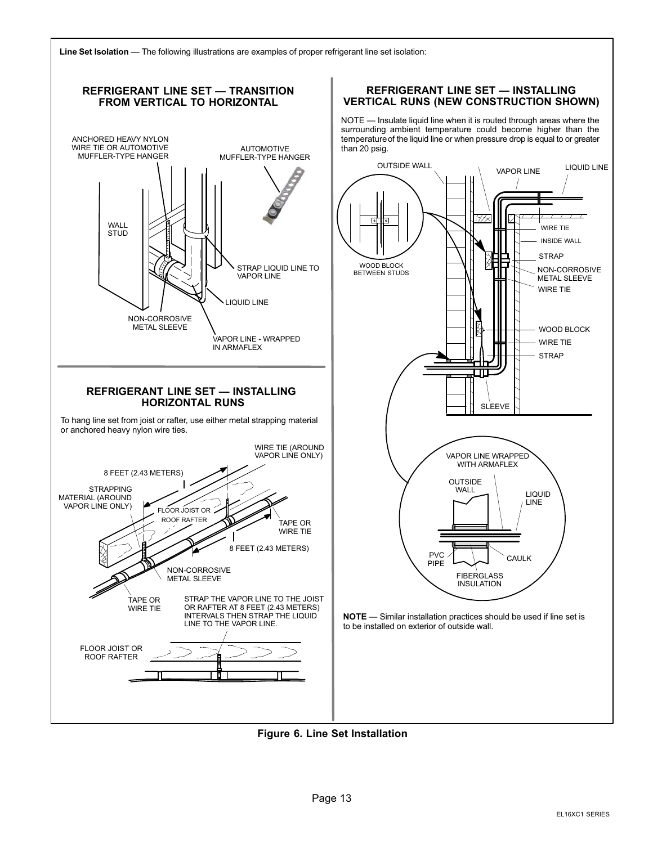<span id="page-12-0"></span>



**Figure 6. Line Set Installation**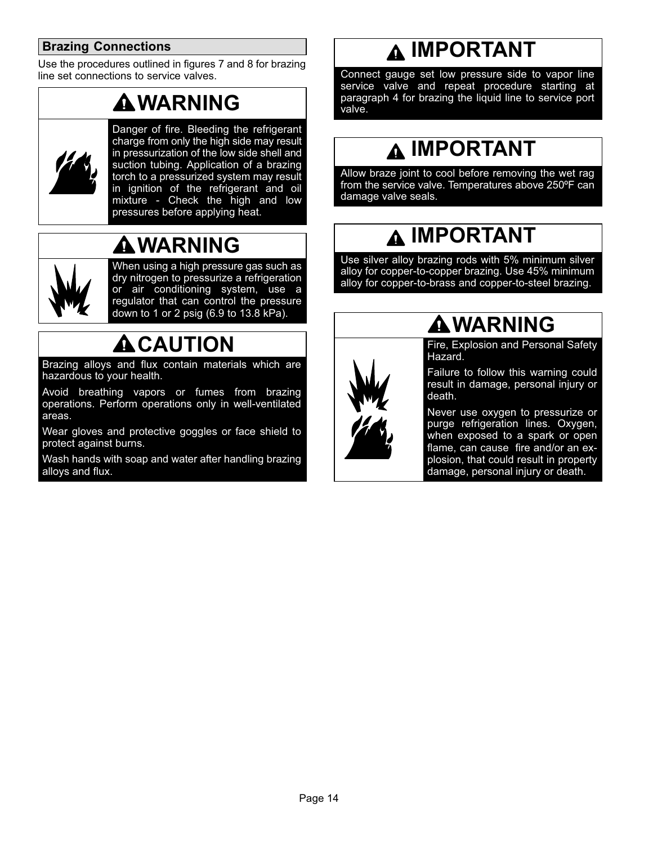### <span id="page-13-0"></span>**Brazing Connections**

Use the procedures outlined in figures [7](#page-14-0) and [8](#page-15-0) for brazing line set connections to service valves.

### **WARNING**



Danger of fire. Bleeding the refrigerant charge from only the high side may result in pressurization of the low side shell and suction tubing. Application of a brazing torch to a pressurized system may result in ignition of the refrigerant and oil mixture - Check the high and low pressures before applying heat.

### **WARNING**



When using a high pressure gas such as dry nitrogen to pressurize a refrigeration or air conditioning system, use a regulator that can control the pressure down to 1 or 2 psig (6.9 to 13.8 kPa).

### **ACAUTION**

Brazing alloys and flux contain materials which are hazardous to your health.

Avoid breathing vapors or fumes from brazing operations. Perform operations only in well-ventilated areas.

Wear gloves and protective goggles or face shield to protect against burns.

Wash hands with soap and water after handling brazing alloys and flux.

### **IMPORTANT**

Connect gauge set low pressure side to vapor line service valve and repeat procedure starting at paragraph 4 for brazing the liquid line to service port valve.

### **IMPORTANT**

Allow braze joint to cool before removing the wet rag from the service valve. Temperatures above 250ºF can damage valve seals.

### **IMPORTANT**

Use silver alloy brazing rods with 5% minimum silver alloy for copper-to-copper brazing. Use 45% minimum alloy for copper-to-brass and copper-to-steel brazing.



### **WARNING**

Fire, Explosion and Personal Safety Hazard.

Failure to follow this warning could result in damage, personal injury or death.

Never use oxygen to pressurize or purge refrigeration lines. Oxygen, when exposed to a spark or open flame, can cause fire and/or an explosion, that could result in property damage, personal injury or death.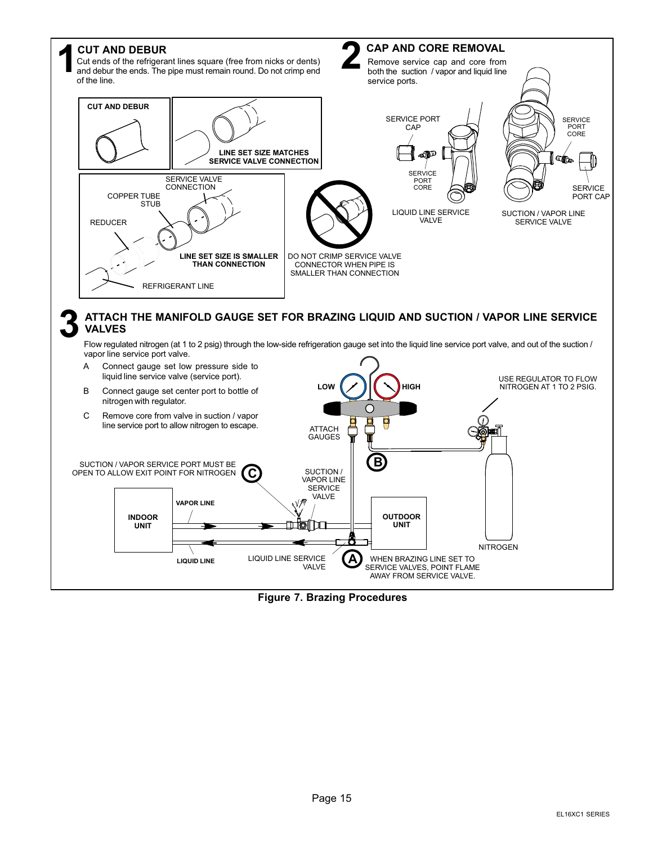<span id="page-14-0"></span>

**Figure 7. Brazing Procedures**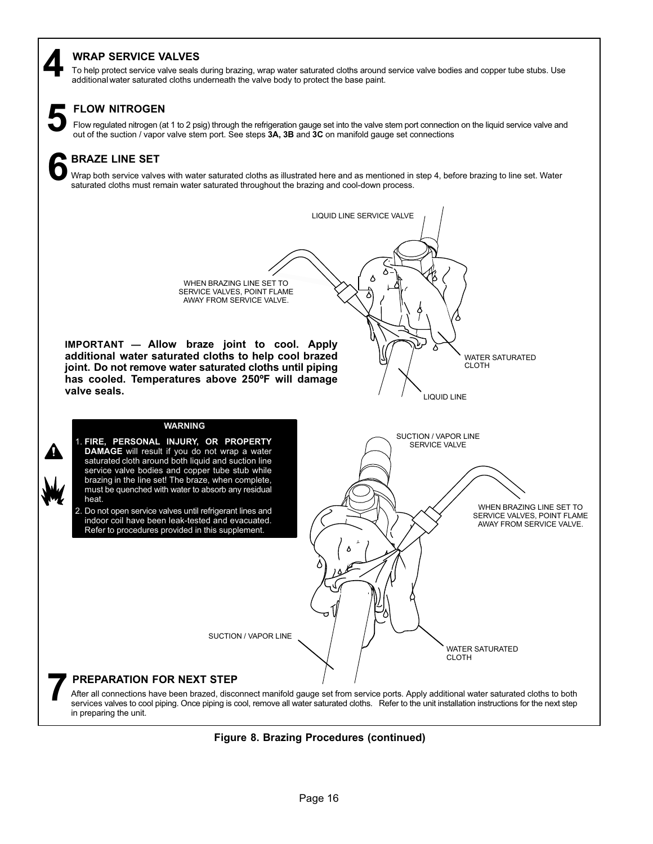### <span id="page-15-0"></span>**WRAP SERVICE VALVES**

To help protect service valve seals during brazing, wrap water saturated cloths around service valve bodies and copper tube stubs. Use **4** additional water saturated cloths underneath the valve body to protect the base paint.

### **FLOW NITROGEN**

Flow regulated nitrogen (at 1 to 2 psig) through the refrigeration gauge set into the valve stem port connection on the liquid service valve and out of the suction / vapor valve stem port. See steps 3A, 3B and 3C on manifo

### **BRAZE LINE SET 6**

Wrap both service valves with water saturated cloths as illustrated here and as mentioned in step 4, before brazing to line set. Water saturated cloths must remain water saturated throughout the brazing and cool-down process.

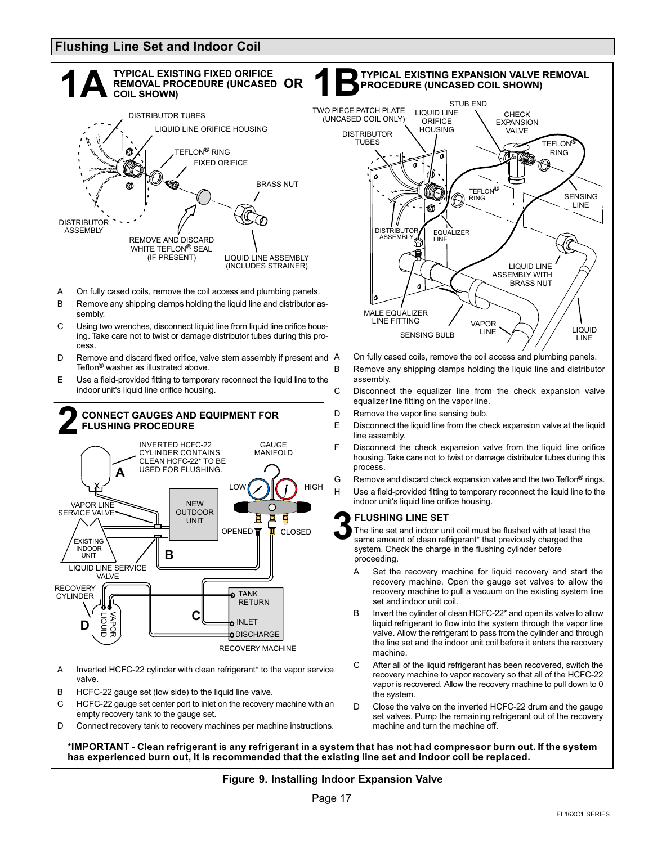### <span id="page-16-0"></span>**Flushing Line Set and Indoor Coil**





- On fully cased coils, remove the coil access and plumbing panels. B Remove any shipping clamps holding the liquid line and distributor
- C Disconnect the equalizer line from the check expansion valve equalizer line fitting on the vapor line.
- D Remove the vapor line sensing bulb.
- E Disconnect the liquid line from the check expansion valve at the liquid line assembly.
- F Disconnect the check expansion valve from the liquid line orifice housing. Take care not to twist or damage distributor tubes during this process.
- G Remove and discard check expansion valve and the two Teflon<sup>®</sup> rings. H Use a field-provided fitting to temporary reconnect the liquid line to the indoor unit's liquid line orifice housing.

#### **FLUSHING LINE SET**

The line set and indoor unit coil must be flushed with at least the same amount of clean refrigerant\* that previously charged the system. Check the charge in the flushing cylinder before proceeding.

- **B** set and indoor unit coil. A Set the recovery machine for liquid recovery and start the recovery machine. Open the gauge set valves to allow the recovery machine to pull a vacuum on the existing system line
- B Invert the cylinder of clean HCFC-22<sup>\*</sup> and open its valve to allow liquid refrigerant to flow into the system through the vapor line valve. Allow the refrigerant to pass from the cylinder and through the line set and the indoor unit coil before it enters the recovery machine.
- C After all of the liquid refrigerant has been recovered, switch the recovery machine to vapor recovery so that all of the HCFC-22 vapor is recovered. Allow the recovery machine to pull down to 0 the system.
- D Close the valve on the inverted HCFC-22 drum and the gauge set valves. Pump the remaining refrigerant out of the recovery machine and turn the machine off.

**\*IMPORTANT - Clean refrigerant is any refrigerant in a system that has not had compressor burn out. If the system has experienced burn out, it is recommended that the existing line set and indoor coil be replaced.**

#### **Figure 9. Installing Indoor Expansion Valve**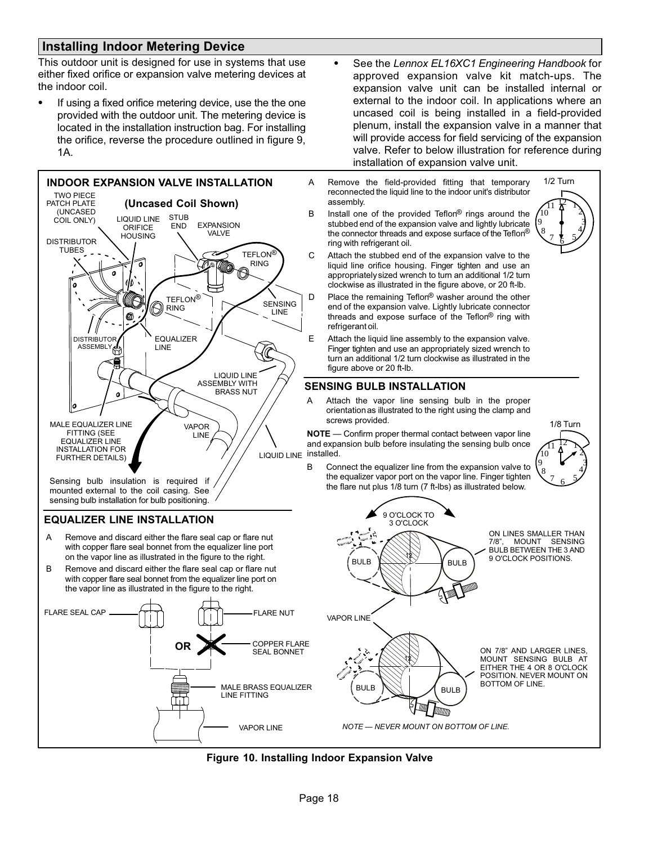### <span id="page-17-0"></span>**Installing Indoor Metering Device**

This outdoor unit is designed for use in systems that use either fixed orifice or expansion valve metering devices at the indoor coil.

- If using a fixed orifice metering device, use the the one provided with the outdoor unit. The metering device is located in the installation instruction bag. For installing the orifice, reverse the procedure outlined in figure [9,](#page-16-0) 1A.



 $\bullet$ 

 See the *Lennox EL16XC1 Engineering Handbook* for approved expansion valve kit match-ups. The expansion valve unit can be installed internal or external to the indoor coil. In applications where an uncased coil is being installed in a field-provided plenum, install the expansion valve in a manner that will provide access for field servicing of the expansion valve. Refer to below illustration for reference during

installation of expansion valve unit.

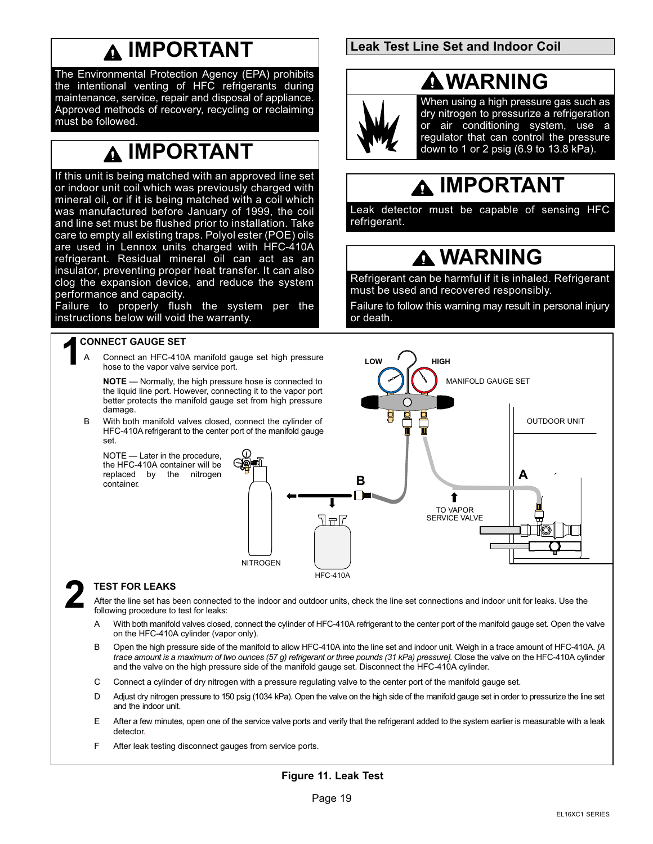### **IMPORTANT**

<span id="page-18-0"></span>The Environmental Protection Agency (EPA) prohibits the intentional venting of HFC refrigerants during maintenance, service, repair and disposal of appliance. Approved methods of recovery, recycling or reclaiming must be followed.

### **IMPORTANT**

If this unit is being matched with an approved line set or indoor unit coil which was previously charged with mineral oil, or if it is being matched with a coil which was manufactured before January of 1999, the coil and line set must be flushed prior to installation. Take care to empty all existing traps. Polyol ester (POE) oils are used in Lennox units charged with HFC-410A refrigerant. Residual mineral oil can act as an insulator, preventing proper heat transfer. It can also clog the expansion device, and reduce the system performance and capacity.

Failure to properly flush the system per the instructions below will void the warranty.

### **1 CONNECT GAUGE SET**

Connect an HFC-410A manifold gauge set high pressure hose to the vapor valve service port.

**NOTE** — Normally, the high pressure hose is connected to the liquid line port. However, connecting it to the vapor port better protects the manifold gauge set from high pressure damage.

B With both manifold valves closed, connect the cylinder of HFC-410A refrigerant to the center port of the manifold gauge set.

NOTE — Later in the procedure, the HFC-410A container will be replaced by the nitrogen container.



### **2 TEST FOR LEAKS**

After the line set has been connected to the indoor and outdoor units, check the line set connections and indoor unit for leaks. Use the following procedure to test for leaks:

HFC-410A

- A With both manifold valves closed, connect the cylinder of HFC-410A refrigerant to the center port of the manifold gauge set. Open the valve on the HFC-410A cylinder (vapor only).
- B Open the high pressure side of the manifold to allow HFC-410A into the line set and indoor unit. Weigh in a trace amount of HFC-410A. *[A* trace amount is a maximum of two ounces (57 g) refrigerant or three pounds (31 kPa) pressure]. Close the valve on the HFC-410A cylinder and the valve on the high pressure side of the manifold gauge set. Disconnect the HFC-410A cylinder.
- C Connect a cylinder of dry nitrogen with a pressure regulating valve to the center port of the manifold gauge set.
- D Adjust dry nitrogen pressure to 150 psig (1034 kPa). Open the valve on the high side of the manifold gauge set in order to pressurize the line set and the indoor unit.
- E After a few minutes, open one of the service valve ports and verify that the refrigerant added to the system earlier is measurable with a leak detector.
- F After leak testing disconnect gauges from service ports.

### **Figure 11. Leak Test**

### **Leak Test Line Set and Indoor Coil**

### **WARNING**



When using a high pressure gas such as dry nitrogen to pressurize a refrigeration or air conditioning system, use a regulator that can control the pressure down to 1 or 2 psig (6.9 to 13.8 kPa).

### **IMPORTANT**

Leak detector must be capable of sensing HFC refrigerant.

### **WARNING**

Refrigerant can be harmful if it is inhaled. Refrigerant must be used and recovered responsibly.

Failure to follow this warning may result in personal injury or death.

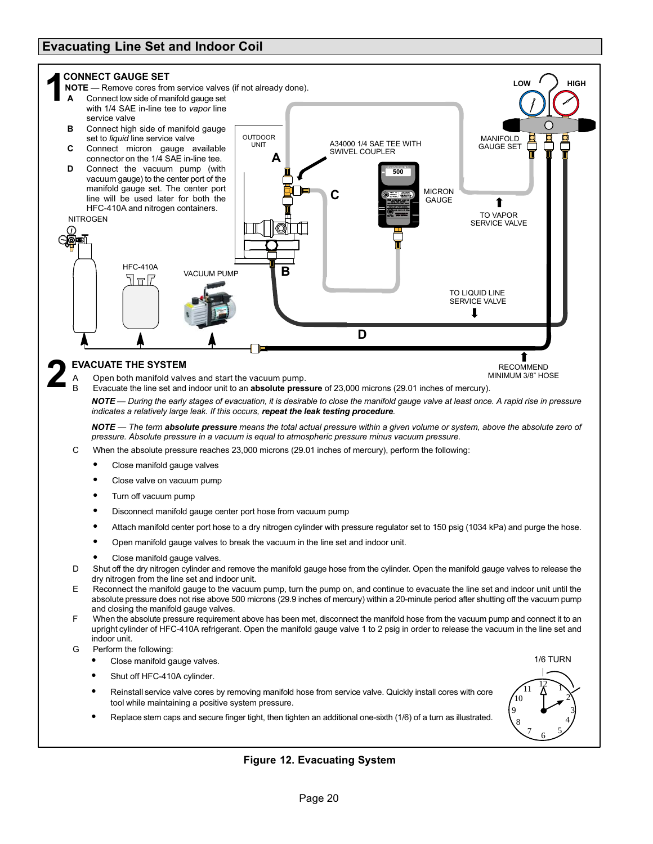### <span id="page-19-0"></span>**Evacuating Line Set and Indoor Coil**



-Replace stem caps and secure finger tight, then tighten an additional one-sixth (1/6) of a turn as illustrated.



### **Figure 12. Evacuating System**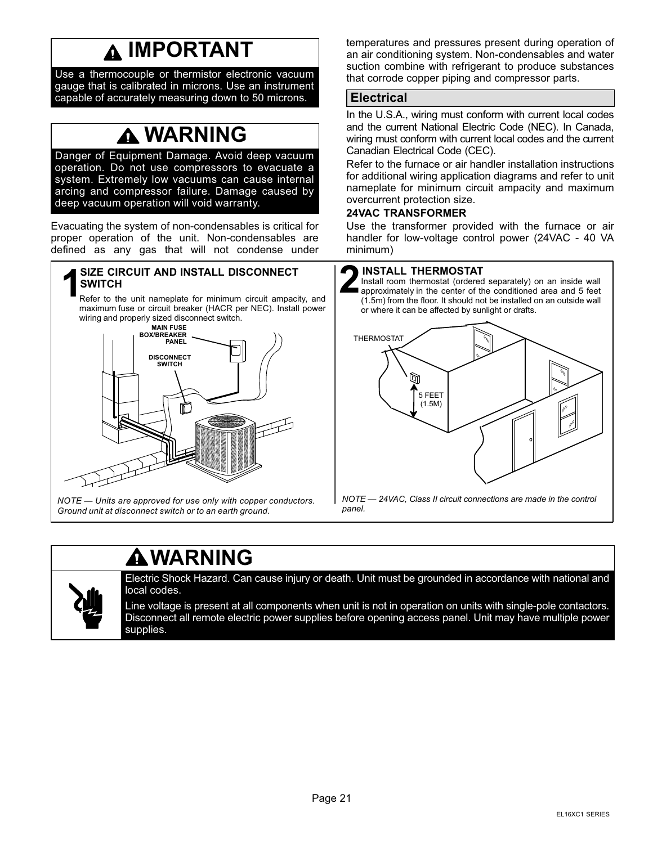### **IMPORTANT**

<span id="page-20-0"></span>Use a thermocouple or thermistor electronic vacuum gauge that is calibrated in microns. Use an instrument capable of accurately measuring down to 50 microns.

### **WARNING**

Danger of Equipment Damage. Avoid deep vacuum operation. Do not use compressors to evacuate a system. Extremely low vacuums can cause internal arcing and compressor failure. Damage caused by deep vacuum operation will void warranty.

Evacuating the system of non-condensables is critical for proper operation of the unit. Non-condensables are defined as any gas that will not condense under

# **REFERENCIT AND INSTALL DISCONNECT**<br>Refer to the unit nameplate for minimum circuit ampacity, and

maximum fuse or circuit breaker (HACR per NEC). Install power wiring and properly sized disconnect switch.



*NOTE — Units are approved for use only with copper conductors. Ground unit at disconnect switch or to an earth ground.*

temperatures and pressures present during operation of an air conditioning system. Non-condensables and water suction combine with refrigerant to produce substances that corrode copper piping and compressor parts.

### **Electrical**

In the U.S.A., wiring must conform with current local codes and the current National Electric Code (NEC). In Canada, wiring must conform with current local codes and the current Canadian Electrical Code (CEC).

Refer to the furnace or air handler installation instructions for additional wiring application diagrams and refer to unit nameplate for minimum circuit ampacity and maximum overcurrent protection size.

#### **24VAC TRANSFORMER**

Use the transformer provided with the furnace or air handler for low-voltage control power (24VAC - 40 VA minimum)

Install room thermostat (ordered separately) on an inside wall **approximately in the center of the conditioned area and 5 feet**<br> **2** approximately in the center of the conditioned area and 5 feet<br> **2** (1.5m) from the floor, it should not be installed on an outside walk (1.5m) from the floor. It should not be installed on an outside wall or where it can be affected by sunlight or drafts.



*panel.*

### **WARNING**



Electric Shock Hazard. Can cause injury or death. Unit must be grounded in accordance with national and local codes.

Line voltage is present at all components when unit is not in operation on units with single‐pole contactors. Disconnect all remote electric power supplies before opening access panel. Unit may have multiple power supplies.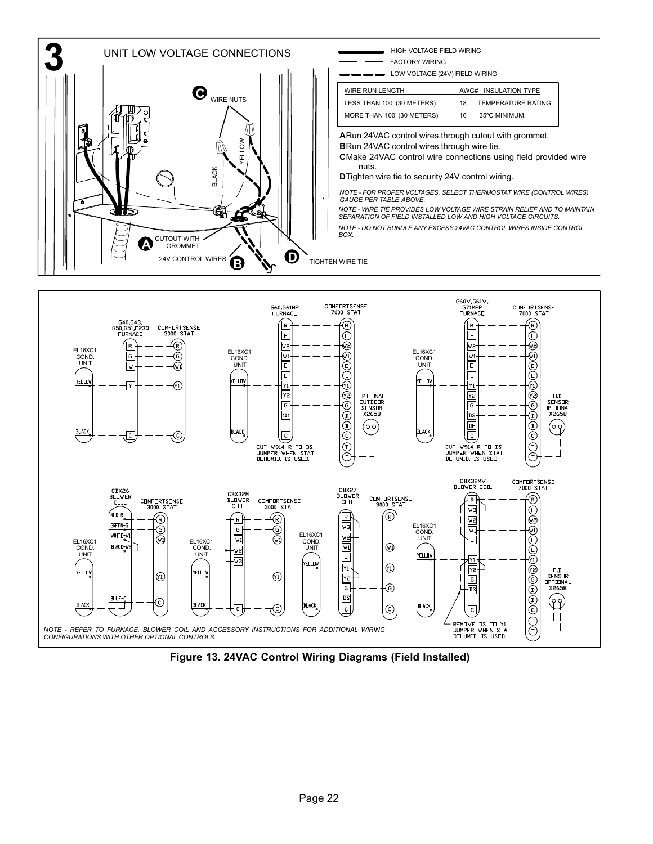

**Figure 13. 24VAC Control Wiring Diagrams (Field Installed)**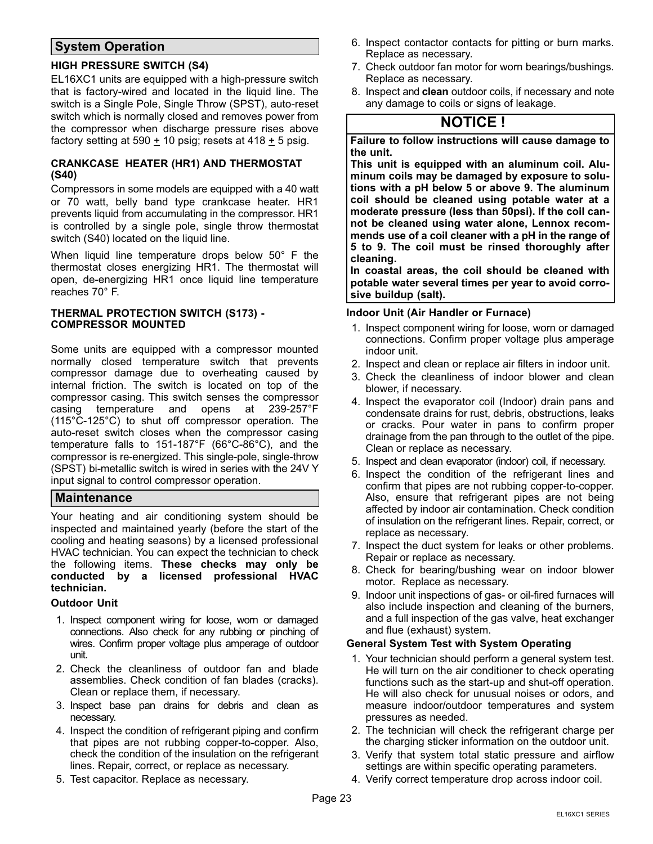### <span id="page-22-0"></span>**System Operation**

#### **HIGH PRESSURE SWITCH (S4)**

EL16XC1 units are equipped with a high‐pressure switch that is factory-wired and located in the liquid line. The switch is a Single Pole, Single Throw (SPST), auto-reset switch which is normally closed and removes power from the compressor when discharge pressure rises above factory setting at 590  $\pm$  10 psig; resets at 418  $\pm$  5 psig.

#### **CRANKCASE HEATER (HR1) AND THERMOSTAT (S40)**

Compressors in some models are equipped with a 40 watt or 70 watt, belly band type crankcase heater. HR1 prevents liquid from accumulating in the compressor. HR1 is controlled by a single pole, single throw thermostat switch (S40) located on the liquid line.

When liquid line temperature drops below 50° F the thermostat closes energizing HR1. The thermostat will open, de-energizing HR1 once liquid line temperature reaches 70° F.

#### **THERMAL PROTECTION SWITCH (S173) - COMPRESSOR MOUNTED**

Some units are equipped with a compressor mounted normally closed temperature switch that prevents compressor damage due to overheating caused by internal friction. The switch is located on top of the compressor casing. This switch senses the compressor casing temperature and opens at 239-257°F (115°C-125°C) to shut off compressor operation. The auto-reset switch closes when the compressor casing temperature falls to 151-187°F (66°C-86°C), and the compressor is re-energized. This single-pole, single-throw (SPST) bi-metallic switch is wired in series with the 24V Y input signal to control compressor operation.

### **Maintenance**

Your heating and air conditioning system should be inspected and maintained yearly (before the start of the cooling and heating seasons) by a licensed professional HVAC technician. You can expect the technician to check the following items. **These checks may only be conducted by a licensed professional HVAC technician.**

#### **Outdoor Unit**

- 1. Inspect component wiring for loose, worn or damaged connections. Also check for any rubbing or pinching of wires. Confirm proper voltage plus amperage of outdoor unit.
- 2. Check the cleanliness of outdoor fan and blade assemblies. Check condition of fan blades (cracks). Clean or replace them, if necessary.
- 3. Inspect base pan drains for debris and clean as necessary.
- 4. Inspect the condition of refrigerant piping and confirm that pipes are not rubbing copper-to-copper. Also, check the condition of the insulation on the refrigerant lines. Repair, correct, or replace as necessary.
- 5. Test capacitor. Replace as necessary.
- 6. Inspect contactor contacts for pitting or burn marks. Replace as necessary.
- 7. Check outdoor fan motor for worn bearings/bushings. Replace as necessary.
- 8. Inspect and **clean** outdoor coils, if necessary and note any damage to coils or signs of leakage.

### **NOTICE !**

**Failure to follow instructions will cause damage to the unit.** 

**This unit is equipped with an aluminum coil. Aluminum coils may be damaged by exposure to solutions with a pH below 5 or above 9. The aluminum coil should be cleaned using potable water at a moderate pressure (less than 50psi). If the coil cannot be cleaned using water alone, Lennox recommends use of a coil cleaner with a pH in the range of 5 to 9. The coil must be rinsed thoroughly after cleaning.** 

**In coastal areas, the coil should be cleaned with potable water several times per year to avoid corrosive buildup (salt).**

#### **Indoor Unit (Air Handler or Furnace)**

- 1. Inspect component wiring for loose, worn or damaged connections. Confirm proper voltage plus amperage indoor unit.
- 2. Inspect and clean or replace air filters in indoor unit.
- 3. Check the cleanliness of indoor blower and clean blower, if necessary.
- 4. Inspect the evaporator coil (Indoor) drain pans and condensate drains for rust, debris, obstructions, leaks or cracks. Pour water in pans to confirm proper drainage from the pan through to the outlet of the pipe. Clean or replace as necessary.
- 5. Inspect and clean evaporator (indoor) coil, if necessary.
- 6. Inspect the condition of the refrigerant lines and confirm that pipes are not rubbing copper-to-copper. Also, ensure that refrigerant pipes are not being affected by indoor air contamination. Check condition of insulation on the refrigerant lines. Repair, correct, or replace as necessary.
- 7. Inspect the duct system for leaks or other problems. Repair or replace as necessary.
- 8. Check for bearing/bushing wear on indoor blower motor. Replace as necessary.
- 9. Indoor unit inspections of gas- or oil-fired furnaces will also include inspection and cleaning of the burners, and a full inspection of the gas valve, heat exchanger and flue (exhaust) system.

#### **General System Test with System Operating**

- 1. Your technician should perform a general system test. He will turn on the air conditioner to check operating functions such as the start-up and shut-off operation. He will also check for unusual noises or odors, and measure indoor/outdoor temperatures and system pressures as needed.
- 2. The technician will check the refrigerant charge per the charging sticker information on the outdoor unit.
- 3. Verify that system total static pressure and airflow settings are within specific operating parameters.
- 4. Verify correct temperature drop across indoor coil.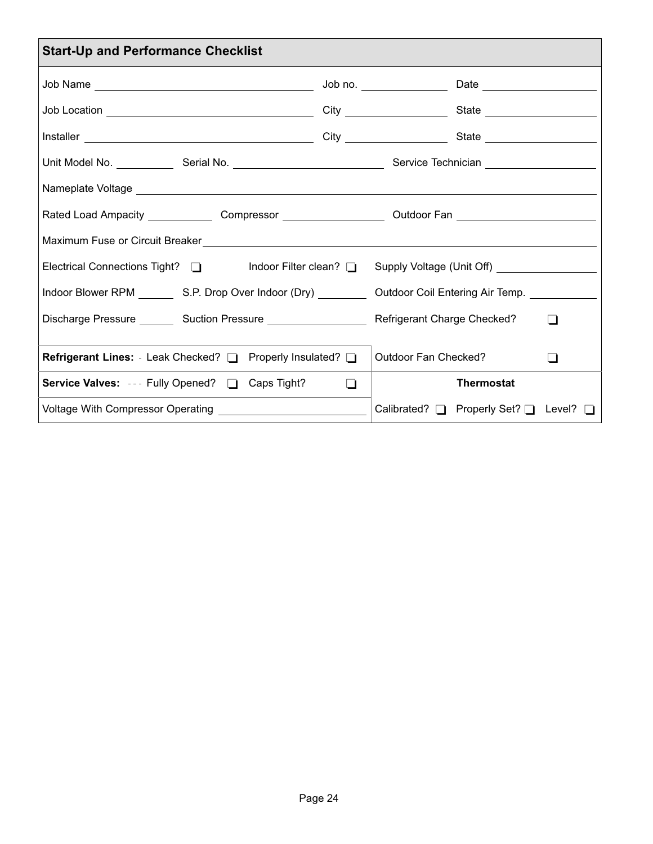<span id="page-23-0"></span>

| <b>Start-Up and Performance Checklist</b>                                                                      |        |                                        |                |  |  |  |  |  |  |  |
|----------------------------------------------------------------------------------------------------------------|--------|----------------------------------------|----------------|--|--|--|--|--|--|--|
|                                                                                                                |        |                                        |                |  |  |  |  |  |  |  |
|                                                                                                                |        |                                        |                |  |  |  |  |  |  |  |
|                                                                                                                |        |                                        |                |  |  |  |  |  |  |  |
| Unit Model No. _______________Serial No. _________________________________Service Technician _________________ |        |                                        |                |  |  |  |  |  |  |  |
|                                                                                                                |        |                                        |                |  |  |  |  |  |  |  |
| Rated Load Ampacity _______________ Compressor ______________________ Outdoor Fan ________________________     |        |                                        |                |  |  |  |  |  |  |  |
|                                                                                                                |        |                                        |                |  |  |  |  |  |  |  |
| Electrical Connections Tight? and and the clean? The Supply Voltage (Unit Off) _____________________           |        |                                        |                |  |  |  |  |  |  |  |
| Indoor Blower RPM __________ S.P. Drop Over Indoor (Dry) __________                                            |        | Outdoor Coil Entering Air Temp.        |                |  |  |  |  |  |  |  |
| Discharge Pressure _________ Suction Pressure _____________________                                            |        | Refrigerant Charge Checked?            | $\blacksquare$ |  |  |  |  |  |  |  |
| Refrigerant Lines: Leak Checked? [ Properly Insulated? [                                                       |        | Outdoor Fan Checked?                   | $\blacksquare$ |  |  |  |  |  |  |  |
| <b>Service Valves:</b> --- Fully Opened? <b>D</b> Caps Tight?                                                  | $\Box$ | <b>Thermostat</b>                      |                |  |  |  |  |  |  |  |
|                                                                                                                |        | Calibrated? □ Properly Set? □ Level? □ |                |  |  |  |  |  |  |  |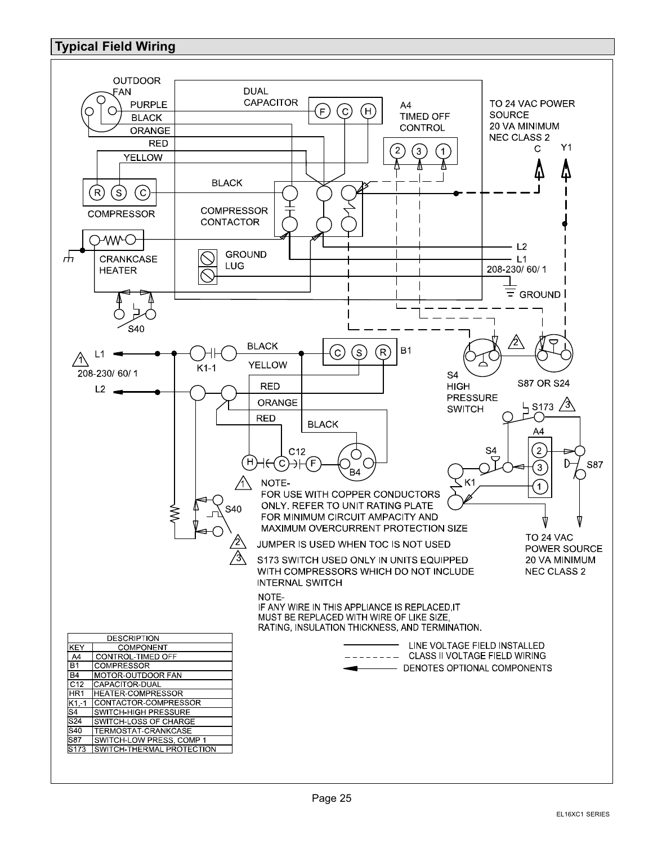### <span id="page-24-0"></span>**Typical Field Wiring**

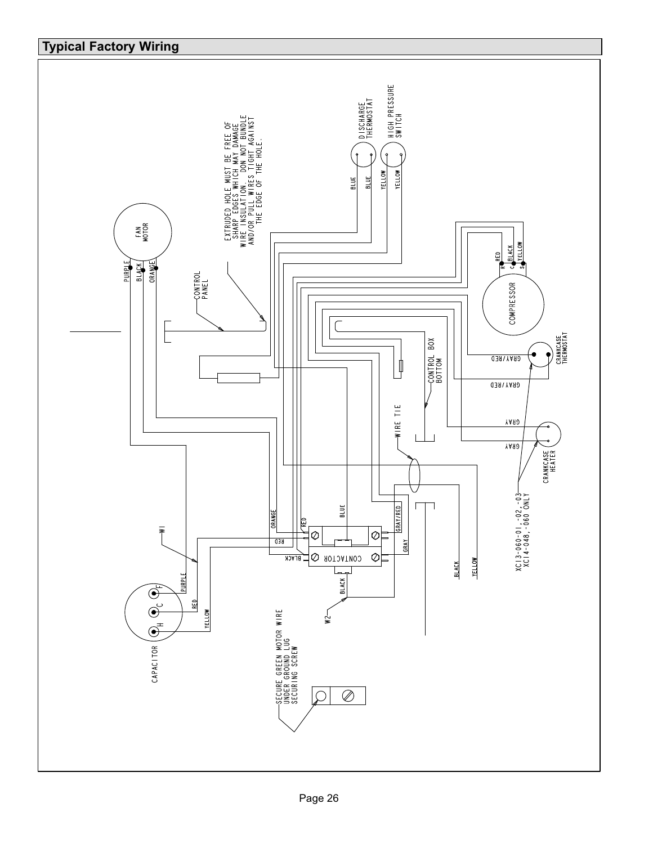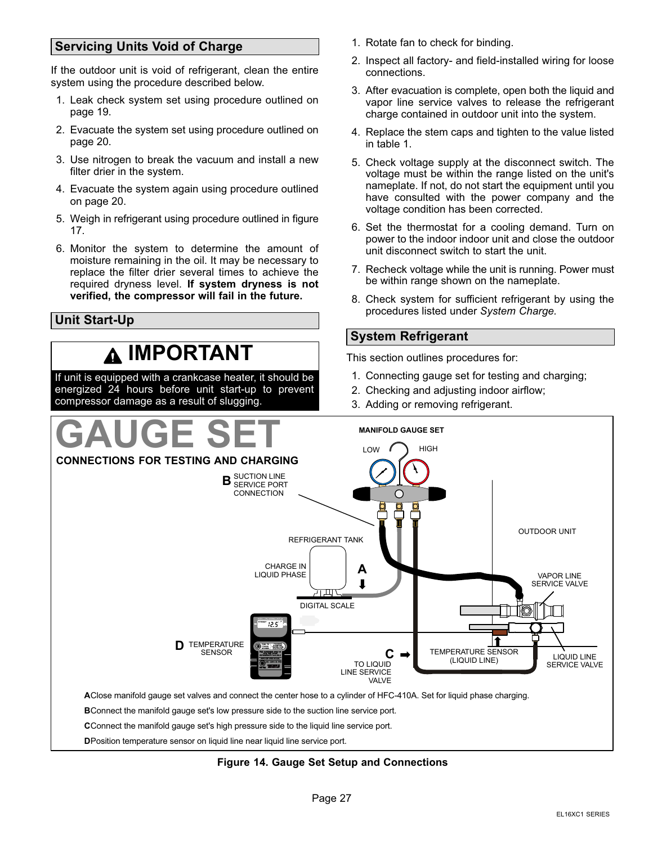### <span id="page-26-0"></span>**Servicing Units Void of Charge**

If the outdoor unit is void of refrigerant, clean the entire system using the procedure described below.

- 1. Leak check system set using procedure outlined on page [19.](#page-18-0)
- 2. Evacuate the system set using procedure outlined on page [20.](#page-19-0)
- 3. Use nitrogen to break the vacuum and install a new filter drier in the system.
- 4. Evacuate the system again using procedure outlined on page [20.](#page-19-0)
- 5. Weigh in refrigerant using procedure outlined in figure [17.](#page-28-0)
- 6. Monitor the system to determine the amount of moisture remaining in the oil. It may be necessary to replace the filter drier several times to achieve the required dryness level. **If system dryness is not verified, the compressor will fail in the future.**

### **Unit Start-Up**

### **IMPORTANT**

If unit is equipped with a crankcase heater, it should be energized 24 hours before unit start-up to prevent compressor damage as a result of slugging.

- 1. Rotate fan to check for binding.
- 2. Inspect all factory- and field-installed wiring for loose connections.
- 3. After evacuation is complete, open both the liquid and vapor line service valves to release the refrigerant charge contained in outdoor unit into the system.
- 4. Replace the stem caps and tighten to the value listed in table [1.](#page-5-0)
- 5. Check voltage supply at the disconnect switch. The voltage must be within the range listed on the unit's nameplate. If not, do not start the equipment until you have consulted with the power company and the voltage condition has been corrected.
- 6. Set the thermostat for a cooling demand. Turn on power to the indoor indoor unit and close the outdoor unit disconnect switch to start the unit.
- 7. Recheck voltage while the unit is running. Power must be within range shown on the nameplate.
- 8. Check system for sufficient refrigerant by using the procedures listed under *System Charge.*

### **System Refrigerant**

This section outlines procedures for:

- 1. Connecting gauge set for testing and charging;
- 2. Checking and adjusting indoor airflow;
- 3. Adding or removing refrigerant.



#### **Figure 14. Gauge Set Setup and Connections**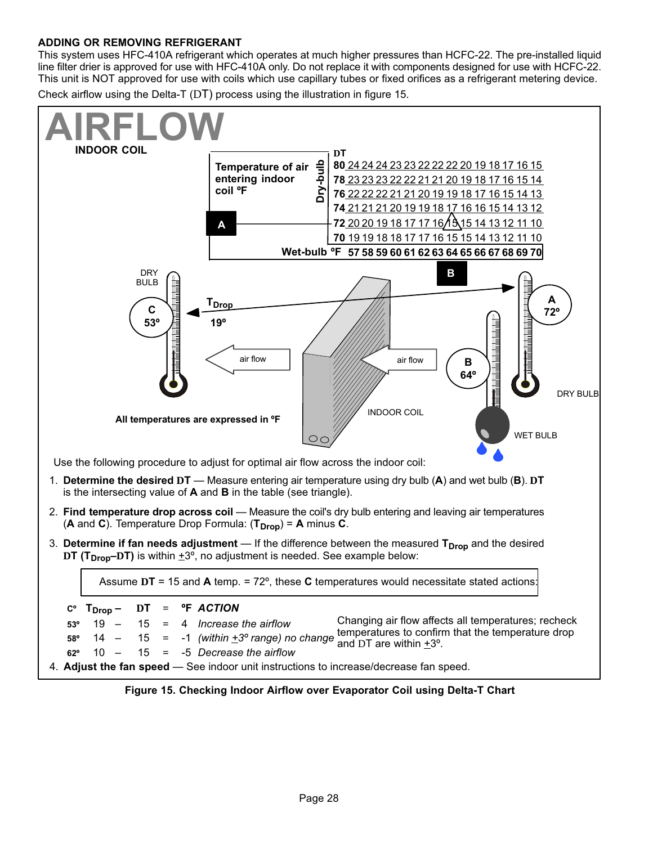#### <span id="page-27-0"></span>**ADDING OR REMOVING REFRIGERANT**

This system uses HFC-410A refrigerant which operates at much higher pressures than HCFC-22. The pre-installed liquid line filter drier is approved for use with HFC-410A only. Do not replace it with components designed for use with HCFC-22. This unit is NOT approved for use with coils which use capillary tubes or fixed orifices as a refrigerant metering device.

Check airflow using the Delta-T (DT) process using the illustration in figure 15.



**Figure 15. Checking Indoor Airflow over Evaporator Coil using Delta-T Chart**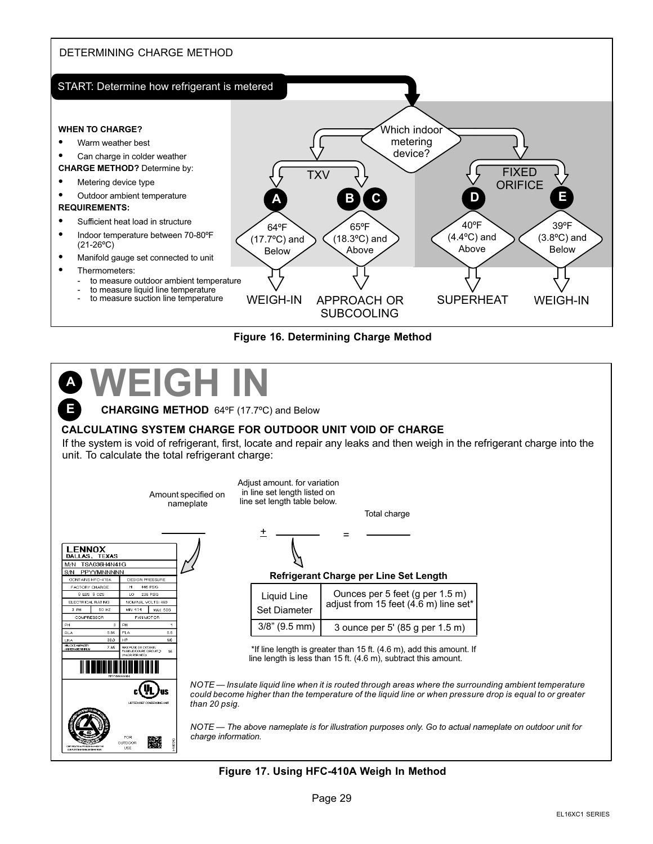<span id="page-28-0"></span>



### **WEIGH IN A E**

**CHARGING METHOD** 64ºF (17.7ºC) and Below

#### **CALCULATING SYSTEM CHARGE FOR OUTDOOR UNIT VOID OF CHARGE**

If the system is void of refrigerant, first, locate and repair any leaks and then weigh in the refrigerant charge into the unit. To calculate the total refrigerant charge:

> Amount specified on nameplate

Adjust amount. for variation in line set length listed on line set length table below.

 $\pm$   $\frac{1}{1}$  =

Total charge





#### **Refrigerant Charge per Line Set Length**

| Liquid Line<br>Set Diameter | Ounces per 5 feet (g per 1.5 m)<br>adjust from 15 feet (4.6 m) line set* |
|-----------------------------|--------------------------------------------------------------------------|
| $3/8$ " (9.5 mm)            | 3 ounce per 5' (85 g per 1.5 m)                                          |

 \*If line length is greater than 15 ft. (4.6 m), add this amount. If line length is less than 15 ft. (4.6 m), subtract this amount.

*NOTE — Insulate liquid line when it is routed through areas where the surrounding ambient temperature could become higher than the temperature of the liquid line or when pressure drop is equal to or greater than 20 psig.*

*NOTE — The above nameplate is for illustration purposes only. Go to actual nameplate on outdoor unit for charge information.*

#### **Figure 17. Using HFC-410A Weigh In Method**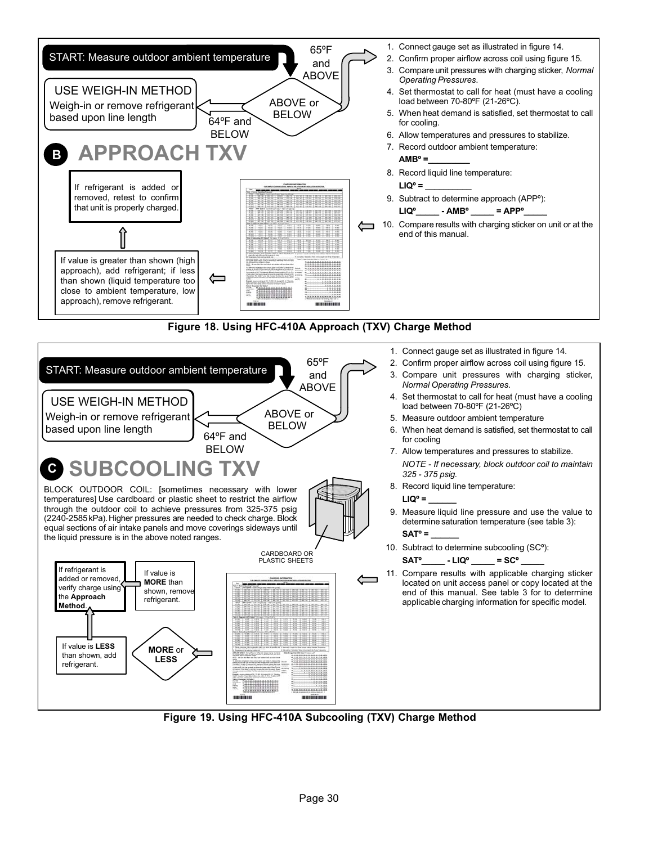

11. Compare results with applicable charging sticker located on unit access panel or copy located at the end of this manual. See table 3 for to determine applicable charging information for specific model.

**Figure 19. Using HFC-410A Subcooling (TXV) Charge Method**

. . . . . . . . . . . . .

珊

If value is **MORE** than shown, remove refrigerant.

**MORE** or **LESS**

If value is **LESS** than shown, add refrigerant.

added or removed, verify charge using the **Approach Method**.